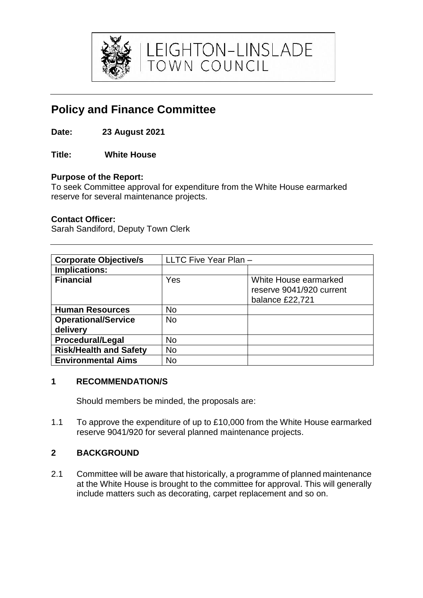

LEIGHTON-LINSLADE<br>TOWN COUNCIL

# **Policy and Finance Committee**

- **Date: 23 August 2021**
- **Title: White House**

# **Purpose of the Report:**

To seek Committee approval for expenditure from the White House earmarked reserve for several maintenance projects.

### **Contact Officer:**

Sarah Sandiford, Deputy Town Clerk

| <b>Corporate Objective/s</b>           | LLTC Five Year Plan - |                                                                      |
|----------------------------------------|-----------------------|----------------------------------------------------------------------|
| Implications:                          |                       |                                                                      |
| <b>Financial</b>                       | Yes                   | White House earmarked<br>reserve 9041/920 current<br>balance £22,721 |
| <b>Human Resources</b>                 | <b>No</b>             |                                                                      |
| <b>Operational/Service</b><br>delivery | <b>No</b>             |                                                                      |
| <b>Procedural/Legal</b>                | No                    |                                                                      |
| <b>Risk/Health and Safety</b>          | <b>No</b>             |                                                                      |
| <b>Environmental Aims</b>              | No                    |                                                                      |

### **1 RECOMMENDATION/S**

Should members be minded, the proposals are:

1.1 To approve the expenditure of up to £10,000 from the White House earmarked reserve 9041/920 for several planned maintenance projects.

# **2 BACKGROUND**

2.1 Committee will be aware that historically, a programme of planned maintenance at the White House is brought to the committee for approval. This will generally include matters such as decorating, carpet replacement and so on.